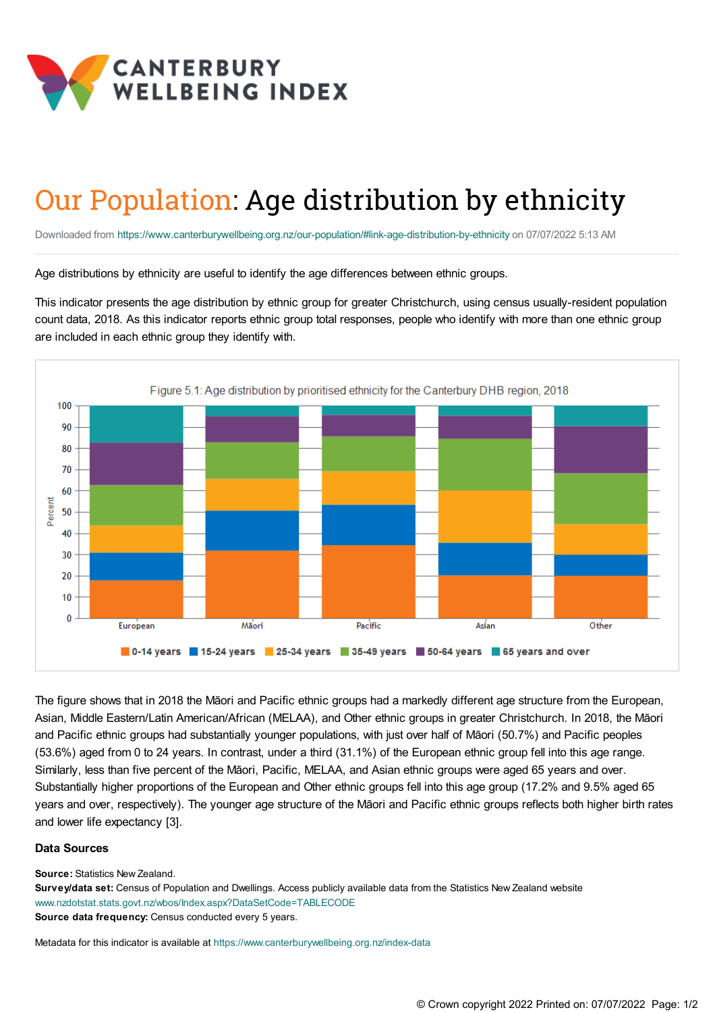

## Our Population: Age distribution by ethnicity

Downloaded from <https://www.canterburywellbeing.org.nz/our-population/#link-age-distribution-by-ethnicity> on 07/07/2022 5:13 AM

Age distributions by ethnicity are useful to identify the age differences between ethnic groups.

This indicator presents the age distribution by ethnic group for greater Christchurch, using census usually-resident population count data, 2018. As this indicator reports ethnic group total responses, people who identify with more than one ethnic group are included in each ethnic group they identify with.



The figure shows that in 2018 the Māori and Pacific ethnic groups had a markedly different age structure from the European, Asian, Middle Eastern/Latin American/African (MELAA), and Other ethnic groups in greater Christchurch. In 2018, the Māori and Pacific ethnic groups had substantially younger populations, with just over half of Māori (50.7%) and Pacific peoples (53.6%) aged from 0 to 24 years. In contrast, under a third (31.1%) of the European ethnic group fell into this age range. Similarly, less than five percent of the Māori, Pacific, MELAA, and Asian ethnic groups were aged 65 years and over. Substantially higher proportions of the European and Other ethnic groups fell into this age group (17.2% and 9.5% aged 65 years and over, respectively). The younger age structure of the Māori and Pacific ethnic groups reflects both higher birth rates and lower life expectancy [3].

## **Data Sources**

**Source:** Statistics New Zealand.

**Survey/data set:** Census of Population and Dwellings. Access publicly available data from the Statistics New Zealand website [www.nzdotstat.stats.govt.nz/wbos/Index.aspx?DataSetCode=TABLECODE](http://nzdotstat.stats.govt.nz/wbos/Index.aspx?DataSetCode=TABLECODE8021&_ga=2.144515317.1364761207.1560210517-1908992255.1555018022 ) **Source data frequency:** Census conducted every 5 years.

Metadata for this indicator is available at [https://www.canterburywellbeing.org.nz/index-data](https://www.canterburywellbeing.org.nz/site-information/index-data)